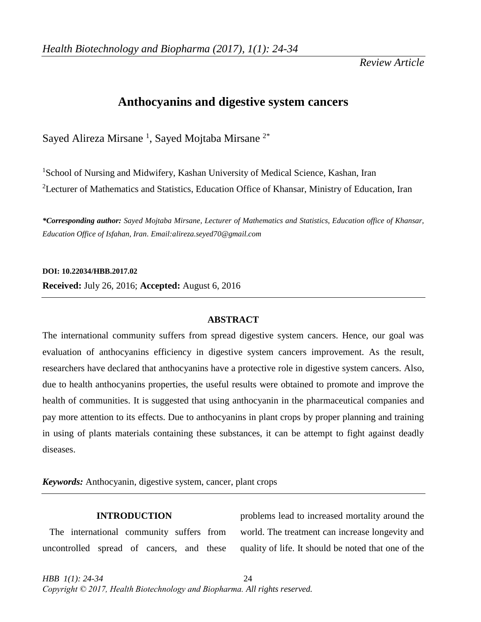*Review Article*

# **Anthocyanins and digestive system cancers**

Sayed Alireza Mirsane<sup>1</sup>, Sayed Mojtaba Mirsane<sup>2\*</sup>

<sup>1</sup>School of Nursing and Midwifery, Kashan University of Medical Science, Kashan, Iran <sup>2</sup>Lecturer of Mathematics and Statistics, Education Office of Khansar, Ministry of Education, Iran

*\*Corresponding author: Sayed Mojtaba Mirsane, Lecturer of Mathematics and Statistics, Education office of Khansar, Education Office of Isfahan, Iran. Email:alireza.seyed70@gmail.com*

**DOI: 10.22034/HBB.2017.02 Received:** July 26, 2016; **Accepted:** August 6, 2016

# **ABSTRACT**

The international community suffers from spread digestive system cancers. Hence, our goal was evaluation of anthocyanins efficiency in digestive system cancers improvement. As the result, researchers have declared that anthocyanins have a protective role in digestive system cancers. Also, due to health anthocyanins properties, the useful results were obtained to promote and improve the health of communities. It is suggested that using anthocyanin in the pharmaceutical companies and pay more attention to its effects. Due to anthocyanins in plant crops by proper planning and training in using of plants materials containing these substances, it can be attempt to fight against deadly diseases.

*Keywords:* Anthocyanin, digestive system, cancer, plant crops

# **INTRODUCTION**

 The international community suffers from uncontrolled spread of cancers, and these

problems lead to increased mortality around the world. The treatment can increase longevity and quality of life. It should be noted that one of the

*HBB 1(1): 24-34* 24 *Copyright © 2017, Health Biotechnology and Biopharma. All rights reserved.*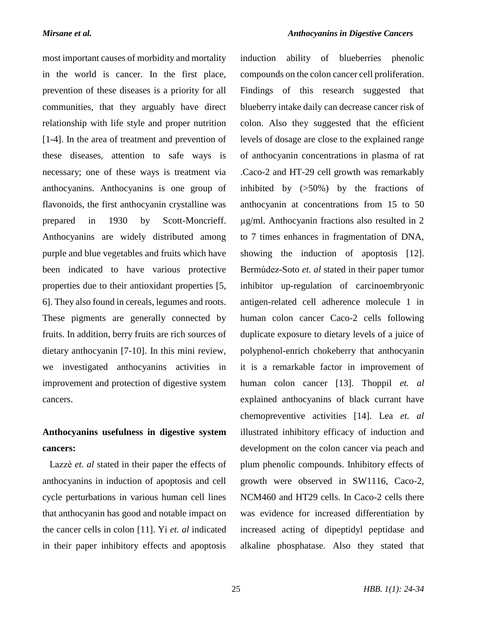most important causes of morbidity and mortality in the world is cancer. In the first place, prevention of these diseases is a priority for all communities, that they arguably have direct relationship with life style and proper nutrition [1-4]. In the area of treatment and prevention of these diseases, attention to safe ways is necessary; one of these ways is treatment via anthocyanins. Anthocyanins is one group of flavonoids, the first anthocyanin crystalline was prepared in 1930 by Scott-Moncrieff. Anthocyanins are widely distributed among purple and blue vegetables and fruits which have been indicated to have various protective properties due to their antioxidant properties [5, 6]. They also found in cereals, legumes and roots. These pigments are generally connected by fruits. In addition, berry fruits are rich sources of dietary anthocyanin [7-10]. In this mini review, we investigated anthocyanins activities in improvement and protection of digestive system cancers.

# **Anthocyanins usefulness in digestive system cancers:**

 Lazzè *et. al* stated in their paper the effects of anthocyanins in induction of apoptosis and cell cycle perturbations in various human cell lines that anthocyanin has good and notable impact on the cancer cells in colon [11]. Yi *et. al* indicated in their paper inhibitory effects and apoptosis

induction ability of blueberries phenolic compounds on the colon cancer cell proliferation. Findings of this research suggested that blueberry intake daily can decrease cancer risk of colon. Also they suggested that the efficient levels of dosage are close to the explained range of anthocyanin concentrations in plasma of rat .Caco-2 and HT-29 cell growth was remarkably inhibited by  $(50\%)$  by the fractions of anthocyanin at concentrations from 15 to 50 µg/ml. Anthocyanin fractions also resulted in 2 to 7 times enhances in fragmentation of DNA, showing the induction of apoptosis [12]. Bermúdez-Soto *et. al* stated in their paper tumor inhibitor up-regulation of carcinoembryonic antigen-related cell adherence molecule 1 in human colon cancer Caco-2 cells following duplicate exposure to dietary levels of a juice of polyphenol-enrich chokeberry that anthocyanin it is a remarkable factor in improvement of human colon cancer [13]. Thoppil *et. al* explained anthocyanins of black currant have chemopreventive activities [14]. Lea *et. al* illustrated inhibitory efficacy of induction and development on the colon cancer via peach and plum phenolic compounds. Inhibitory effects of growth were observed in SW1116, Caco-2, NCM460 and HT29 cells. In Caco-2 cells there was evidence for increased differentiation by increased acting of dipeptidyl peptidase and alkaline phosphatase. Also they stated that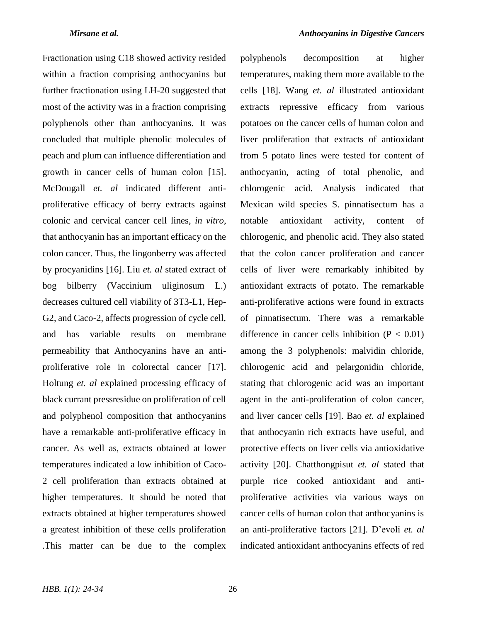Fractionation using C18 showed activity resided within a fraction comprising anthocyanins but further fractionation using LH-20 suggested that most of the activity was in a fraction comprising polyphenols other than anthocyanins. It was concluded that multiple phenolic molecules of peach and plum can influence differentiation and growth in cancer cells of human colon [15]. McDougall *et. al* indicated different antiproliferative efficacy of berry extracts against colonic and cervical cancer cell lines, *in vitro*, that anthocyanin has an important efficacy on the colon cancer. Thus, the lingonberry was affected by procyanidins [16]. Liu *et. al* stated extract of bog bilberry (Vaccinium uliginosum L.) decreases cultured cell viability of 3T3-L1, Hep-G2, and Caco-2, affects progression of cycle cell, and has variable results on membrane permeability that Anthocyanins have an antiproliferative role in colorectal cancer [17]. Holtung *et. al* explained processing efficacy of black currant pressresidue on proliferation of cell and polyphenol composition that anthocyanins have a remarkable anti-proliferative efficacy in cancer. As well as, extracts obtained at lower temperatures indicated a low inhibition of Caco-2 cell proliferation than extracts obtained at higher temperatures. It should be noted that extracts obtained at higher temperatures showed a greatest inhibition of these cells proliferation .This matter can be due to the complex

polyphenols decomposition at higher temperatures, making them more available to the cells [18]. Wang *et. al* illustrated antioxidant extracts repressive efficacy from various potatoes on the cancer cells of human colon and liver proliferation that extracts of antioxidant from 5 potato lines were tested for content of anthocyanin, acting of total phenolic, and chlorogenic acid. Analysis indicated that Mexican wild species S. pinnatisectum has a notable antioxidant activity, content of chlorogenic, and phenolic acid. They also stated that the colon cancer proliferation and cancer cells of liver were remarkably inhibited by antioxidant extracts of potato. The remarkable anti-proliferative actions were found in extracts of pinnatisectum. There was a remarkable difference in cancer cells inhibition  $(P < 0.01)$ among the 3 polyphenols: malvidin chloride, chlorogenic acid and pelargonidin chloride, stating that chlorogenic acid was an important agent in the anti-proliferation of colon cancer, and liver cancer cells [19]. Bao *et. al* explained that anthocyanin rich extracts have useful, and protective effects on liver cells via antioxidative activity [20]. Chatthongpisut *et. al* stated that purple rice cooked antioxidant and antiproliferative activities via various ways on cancer cells of human colon that anthocyanins is an anti-proliferative factors [21]. D'evoli *et. al* indicated antioxidant anthocyanins effects of red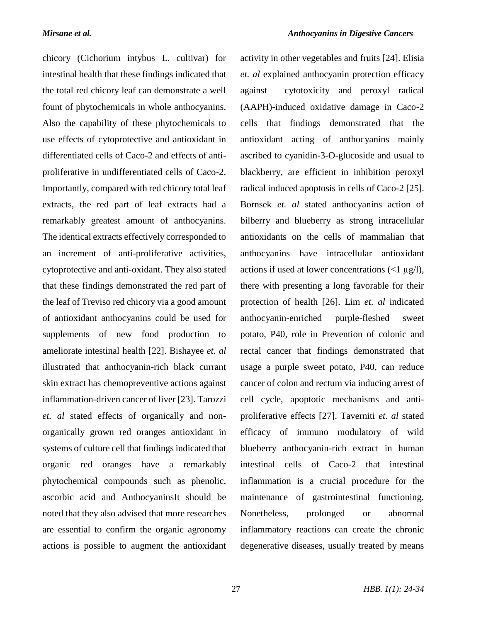chicory (Cichorium intybus L. cultivar) for intestinal health that these findings indicated that the total red chicory leaf can demonstrate a well fount of phytochemicals in whole anthocyanins. Also the capability of these phytochemicals to use effects of cytoprotective and antioxidant in differentiated cells of Caco-2 and effects of antiproliferative in undifferentiated cells of Caco-2. Importantly, compared with red chicory total leaf extracts, the red part of leaf extracts had a remarkably greatest amount of anthocyanins. The identical extracts effectively corresponded to an increment of anti-proliferative activities, cytoprotective and anti-oxidant. They also stated that these findings demonstrated the red part of the leaf of Treviso red chicory via a good amount of antioxidant anthocyanins could be used for supplements of new food production to ameliorate intestinal health [22]. Bishayee *et. al* illustrated that anthocyanin-rich black currant skin extract has chemopreventive actions against inflammation-driven cancer of liver [23]. Tarozzi *et. al* stated effects of organically and nonorganically grown red oranges antioxidant in systems of culture cell that findings indicated that organic red oranges have a remarkably phytochemical compounds such as phenolic, ascorbic acid and AnthocyaninsIt should be noted that they also advised that more researches are essential to confirm the organic agronomy actions is possible to augment the antioxidant

activity in other vegetables and fruits [24]. Elisia *et. al* explained anthocyanin protection efficacy against cytotoxicity and peroxyl radical (AAPH)-induced oxidative damage in Caco-2 cells that findings demonstrated that the antioxidant acting of anthocyanins mainly ascribed to cyanidin-3-O-glucoside and usual to blackberry, are efficient in inhibition peroxyl radical induced apoptosis in cells of Caco-2 [25]. Bornsek *et. al* stated anthocyanins action of bilberry and blueberry as strong intracellular antioxidants on the cells of mammalian that anthocyanins have intracellular antioxidant actions if used at lower concentrations  $\left(\langle 1 | \mu g/1 \rangle\right)$ , there with presenting a long favorable for their protection of health [26]. Lim *et. al* indicated anthocyanin-enriched purple-fleshed sweet potato, P40, role in Prevention of colonic and rectal cancer that findings demonstrated that usage a purple sweet potato, P40, can reduce cancer of colon and rectum via inducing arrest of cell cycle, apoptotic mechanisms and antiproliferative effects [27]. Taverniti *et. al* stated efficacy of immuno modulatory of wild blueberry anthocyanin-rich extract in human intestinal cells of Caco-2 that intestinal inflammation is a crucial procedure for the maintenance of gastrointestinal functioning. Nonetheless, prolonged or abnormal inflammatory reactions can create the chronic degenerative diseases, usually treated by means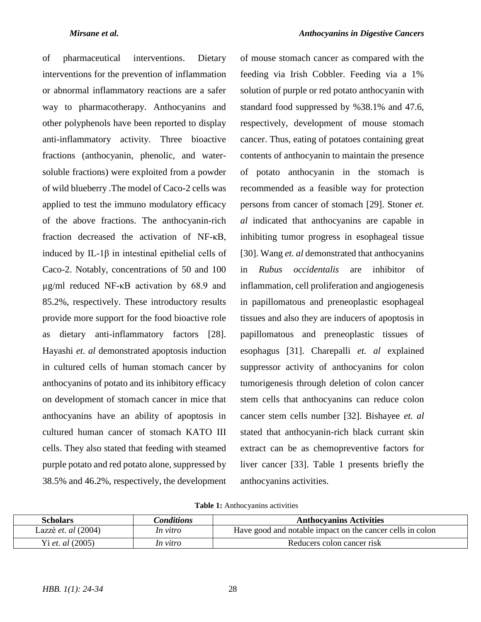of pharmaceutical interventions. Dietary interventions for the prevention of inflammation or abnormal inflammatory reactions are a safer way to pharmacotherapy. Anthocyanins and other polyphenols have been reported to display anti-inflammatory activity. Three bioactive fractions (anthocyanin, phenolic, and watersoluble fractions) were exploited from a powder of wild blueberry .The model of Caco-2 cells was applied to test the immuno modulatory efficacy of the above fractions. The anthocyanin-rich fraction decreased the activation of NF-κB, induced by IL-1β in intestinal epithelial cells of Caco-2. Notably, concentrations of 50 and 100 µg/ml reduced NF-κB activation by 68.9 and 85.2%, respectively. These introductory results provide more support for the food bioactive role as dietary anti-inflammatory factors [28]. Hayashi *et. al* demonstrated apoptosis induction in cultured cells of human stomach cancer by anthocyanins of potato and its inhibitory efficacy on development of stomach cancer in mice that anthocyanins have an ability of apoptosis in cultured human cancer of stomach KATO III cells. They also stated that feeding with steamed purple potato and red potato alone, suppressed by 38.5% and 46.2%, respectively, the development

of mouse stomach cancer as compared with the feeding via Irish Cobbler. Feeding via a 1% solution of purple or red potato anthocyanin with standard food suppressed by %38.1% and 47.6, respectively, development of mouse stomach cancer. Thus, eating of potatoes containing great contents of anthocyanin to maintain the presence of potato anthocyanin in the stomach is recommended as a feasible way for protection persons from cancer of stomach [29]. Stoner *et. al* indicated that anthocyanins are capable in inhibiting tumor progress in esophageal tissue [30]. Wang *et. al* demonstrated that anthocyanins in *Rubus occidentalis* are inhibitor of inflammation, cell proliferation and angiogenesis in papillomatous and preneoplastic esophageal tissues and also they are inducers of apoptosis in papillomatous and preneoplastic tissues of esophagus [31]. Charepalli *et. al* explained suppressor activity of anthocyanins for colon tumorigenesis through deletion of colon cancer stem cells that anthocyanins can reduce colon cancer stem cells number [32]. Bishayee *et. al* stated that anthocyanin-rich black currant skin extract can be as chemopreventive factors for liver cancer [33]. Table 1 presents briefly the anthocyanins activities.

|  | Table 1: Anthocyanins activities |  |
|--|----------------------------------|--|
|--|----------------------------------|--|

| <b>Scholars</b>              | Conditions | <b>Anthocyanins Activities</b>                            |
|------------------------------|------------|-----------------------------------------------------------|
| Lazzè <i>et. al</i> $(2004)$ | In vitro   | Have good and notable impact on the cancer cells in colon |
| Yi <i>et. al</i> $(2005)$    | In vitro   | Reducers colon cancer risk                                |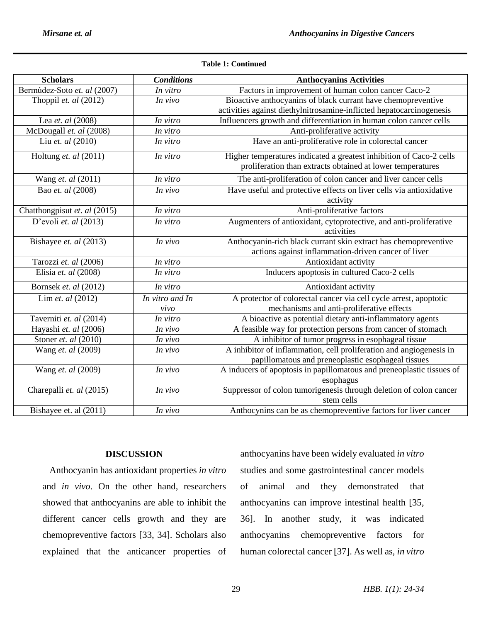| <b>Scholars</b>              | <b>Conditions</b> | <b>Anthocyanins Activities</b>                                                                                         |
|------------------------------|-------------------|------------------------------------------------------------------------------------------------------------------------|
| Bermúdez-Soto et. al (2007)  | In vitro          | Factors in improvement of human colon cancer Caco-2                                                                    |
| Thoppil et. al (2012)        | In vivo           | Bioactive anthocyanins of black currant have chemopreventive                                                           |
|                              |                   | activities against diethylnitrosamine-inflicted hepatocarcinogenesis                                                   |
| Lea et. al (2008)            | In vitro          | Influencers growth and differentiation in human colon cancer cells                                                     |
| McDougall et. al (2008)      | In vitro          | Anti-proliferative activity                                                                                            |
| Liu et. al (2010)            | In vitro          | Have an anti-proliferative role in colorectal cancer                                                                   |
| Holtung et. al (2011)        | In vitro          | Higher temperatures indicated a greatest inhibition of Caco-2 cells                                                    |
|                              |                   | proliferation than extracts obtained at lower temperatures                                                             |
| Wang et. al (2011)           | In vitro          | The anti-proliferation of colon cancer and liver cancer cells                                                          |
| Bao et. al (2008)            | In vivo           | Have useful and protective effects on liver cells via antioxidative<br>activity                                        |
| Chatthongpisut et. al (2015) | In vitro          | Anti-proliferative factors                                                                                             |
| D'evoli et. al $(2013)$      | In vitro          | Augmenters of antioxidant, cytoprotective, and anti-proliferative<br>activities                                        |
| Bishayee et. al (2013)       | In vivo           | Anthocyanin-rich black currant skin extract has chemopreventive<br>actions against inflammation-driven cancer of liver |
| Tarozzi et. al (2006)        | In vitro          | Antioxidant activity                                                                                                   |
| Elisia et. al (2008)         | In vitro          | Inducers apoptosis in cultured Caco-2 cells                                                                            |
| Bornsek et. al (2012)        | In vitro          | Antioxidant activity                                                                                                   |
| Lim et. al (2012)            | In vitro and In   | A protector of colorectal cancer via cell cycle arrest, apoptotic                                                      |
|                              | vivo              | mechanisms and anti-proliferative effects                                                                              |
| Taverniti et. al (2014)      | In vitro          | A bioactive as potential dietary anti-inflammatory agents                                                              |
| Hayashi et. al (2006)        | In vivo           | A feasible way for protection persons from cancer of stomach                                                           |
| Stoner et. al (2010)         | In vivo           | A inhibitor of tumor progress in esophageal tissue                                                                     |
| Wang et. al (2009)           | In vivo           | A inhibitor of inflammation, cell proliferation and angiogenesis in                                                    |
|                              |                   | papillomatous and preneoplastic esophageal tissues                                                                     |
| Wang et. al (2009)           | In vivo           | A inducers of apoptosis in papillomatous and preneoplastic tissues of                                                  |
|                              |                   | esophagus                                                                                                              |
| Charepalli et. al (2015)     | In vivo           | Suppressor of colon tumorigenesis through deletion of colon cancer                                                     |
|                              |                   | stem cells                                                                                                             |
| Bishayee et. al (2011)       | In vivo           | Anthocynins can be as chemopreventive factors for liver cancer                                                         |

### **Table 1: Continued**

# **DISCUSSION**

 Anthocyanin has antioxidant properties *in vitro* and *in vivo*. On the other hand, researchers showed that anthocyanins are able to inhibit the different cancer cells growth and they are chemopreventive factors [33, 34]. Scholars also explained that the anticancer properties of

anthocyanins have been widely evaluated *in vitro* studies and some gastrointestinal cancer models of animal and they demonstrated that anthocyanins can improve intestinal health [35, 36]. In another study, it was indicated anthocyanins chemopreventive factors for human colorectal cancer [37]. As well as, *in vitro*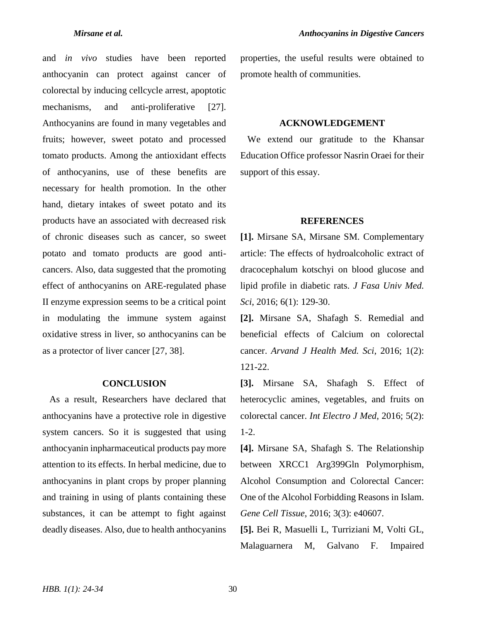and *in vivo* studies have been reported anthocyanin can protect against cancer of colorectal by inducing cellcycle arrest, apoptotic mechanisms, and anti-proliferative [27]. Anthocyanins are found in many vegetables and fruits; however, sweet potato and processed tomato products. Among the antioxidant effects of anthocyanins, use of these benefits are necessary for health promotion. In the other hand, dietary intakes of sweet potato and its products have an associated with decreased risk of chronic diseases such as cancer, so sweet potato and tomato products are good anticancers. Also, data suggested that the promoting effect of anthocyanins on ARE-regulated phase II enzyme expression seems to be a critical point in modulating the immune system against oxidative stress in liver, so anthocyanins can be as a protector of liver cancer [27, 38].

### **CONCLUSION**

 As a result, Researchers have declared that anthocyanins have a protective role in digestive system cancers. So it is suggested that using anthocyanin inpharmaceutical products pay more attention to its effects. In herbal medicine, due to anthocyanins in plant crops by proper planning and training in using of plants containing these substances, it can be attempt to fight against deadly diseases. Also, due to health anthocyanins

properties, the useful results were obtained to promote health of communities.

### **ACKNOWLEDGEMENT**

 We extend our gratitude to the Khansar Education Office professor Nasrin Oraei for their support of this essay.

### **REFERENCES**

**[1].** Mirsane SA, Mirsane SM. Complementary article: The effects of hydroalcoholic extract of dracocephalum kotschyi on blood glucose and lipid profile in diabetic rats. *J Fasa Univ Med. Sci*, 2016; 6(1): 129-30.

**[2].** Mirsane SA, Shafagh S. Remedial and beneficial effects of Calcium on colorectal cancer. *Arvand J Health Med. Sci*, 2016; 1(2): 121-22.

**[3].** Mirsane SA, Shafagh S. Effect of heterocyclic amines, vegetables, and fruits on colorectal cancer. *Int Electro J Med*, 2016; 5(2): 1-2.

**[4].** Mirsane SA, Shafagh S. The Relationship between XRCC1 Arg399Gln Polymorphism, Alcohol Consumption and Colorectal Cancer: One of the Alcohol Forbidding Reasons in Islam. *Gene Cell Tissue*, 2016; 3(3): e40607.

**[5].** Bei R, Masuelli L, Turriziani M, Volti GL, Malaguarnera M, Galvano F. Impaired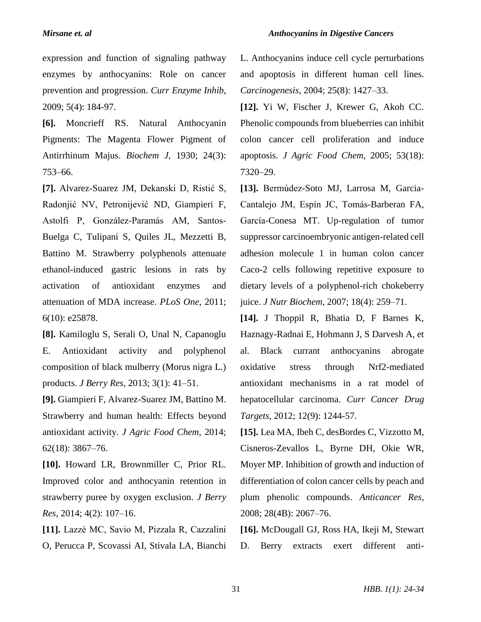expression and function of signaling pathway enzymes by anthocyanins: Role on cancer prevention and progression. *Curr Enzyme Inhib*, 2009; 5(4): 184-97.

**[6].** Moncrieff RS. Natural Anthocyanin Pigments: The Magenta Flower Pigment of Antirrhinum Majus. *Biochem J*, 1930; 24(3): 753–66.

**[7].** Alvarez-Suarez JM, Dekanski D, Ristić S, Radonjić NV, Petronijević ND, Giampieri F, Astolfi P, González-Paramás AM, Santos-Buelga C, Tulipani S, Quiles JL, Mezzetti B, Battino M. Strawberry polyphenols attenuate ethanol-induced gastric lesions in rats by activation of antioxidant enzymes and attenuation of MDA increase. *PLoS One*, 2011; 6(10): e25878.

**[8].** Kamiloglu S, Serali O, Unal N, Capanoglu E. Antioxidant activity and polyphenol composition of black mulberry (Morus nigra L.) products. *J Berry Res*, 2013; 3(1): 41–51.

**[9].** Giampieri F, Alvarez-Suarez JM, Battino M. Strawberry and human health: Effects beyond antioxidant activity. *J Agric Food Chem*, 2014; 62(18): 3867–76.

**[10].** Howard LR, Brownmiller C, Prior RL. Improved color and anthocyanin retention in strawberry puree by oxygen exclusion. *J Berry Res*, 2014; 4(2): 107–16.

**[11].** Lazzè MC, Savio M, Pizzala R, Cazzalini O, Perucca P, Scovassi AI, Stivala LA, Bianchi L. Anthocyanins induce cell cycle perturbations and apoptosis in different human cell lines. *Carcinogenesis*, 2004; 25(8): 1427–33.

**[12].** Yi W, Fischer J, Krewer G, Akoh CC. Phenolic compounds from blueberries can inhibit colon cancer cell proliferation and induce apoptosis. *J Agric Food Chem*, 2005; 53(18): 7320–29.

**[13].** Bermúdez-Soto MJ, Larrosa M, Garcia-Cantalejo JM, Espín JC, Tomás-Barberan FA, García-Conesa MT. Up-regulation of tumor suppressor carcinoembryonic antigen-related cell adhesion molecule 1 in human colon cancer Caco-2 cells following repetitive exposure to dietary levels of a polyphenol-rich chokeberry juice. *J Nutr Biochem*, 2007; 18(4): 259–71.

**[14].** J Thoppil R, Bhatia D, F Barnes K, Haznagy-Radnai E, Hohmann J, S Darvesh A, et al. Black currant anthocyanins abrogate oxidative stress through Nrf2-mediated antioxidant mechanisms in a rat model of hepatocellular carcinoma. *Curr Cancer Drug Targets*, 2012; 12(9): 1244-57.

**[15].** Lea MA, Ibeh C, desBordes C, Vizzotto M, Cisneros-Zevallos L, Byrne DH, Okie WR, Moyer MP. Inhibition of growth and induction of differentiation of colon cancer cells by peach and plum phenolic compounds. *Anticancer Res*, 2008; 28(4B): 2067–76.

**[16].** McDougall GJ, Ross HA, Ikeji M, Stewart D. Berry extracts exert different anti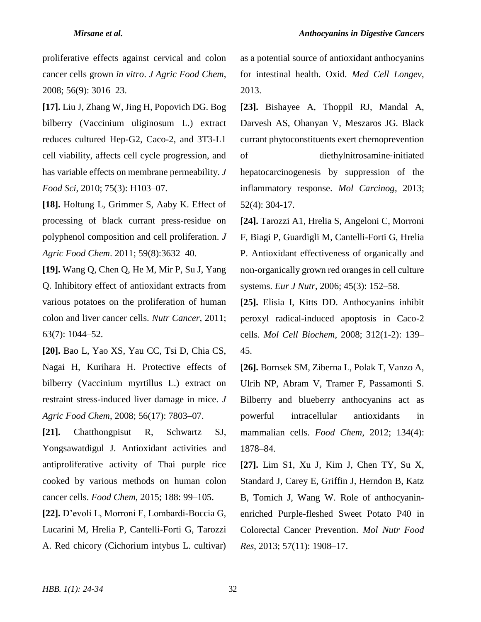proliferative effects against cervical and colon cancer cells grown *in vitro*. *J Agric Food Chem*, 2008; 56(9): 3016–23.

**[17].** Liu J, Zhang W, Jing H, Popovich DG. Bog bilberry (Vaccinium uliginosum L.) extract reduces cultured Hep-G2, Caco-2, and 3T3-L1 cell viability, affects cell cycle progression, and has variable effects on membrane permeability. *J Food Sci*, 2010; 75(3): H103–07.

**[18].** Holtung L, Grimmer S, Aaby K. Effect of processing of black currant press-residue on polyphenol composition and cell proliferation. *J Agric Food Chem*. 2011; 59(8):3632–40.

**[19].** Wang Q, Chen Q, He M, Mir P, Su J, Yang Q. Inhibitory effect of antioxidant extracts from various potatoes on the proliferation of human colon and liver cancer cells. *Nutr Cancer*, 2011; 63(7): 1044–52.

**[20].** Bao L, Yao XS, Yau CC, Tsi D, Chia CS, Nagai H, Kurihara H. Protective effects of bilberry (Vaccinium myrtillus L.) extract on restraint stress-induced liver damage in mice. *J Agric Food Chem*, 2008; 56(17): 7803–07.

**[21].** Chatthongpisut R, Schwartz SJ, Yongsawatdigul J. Antioxidant activities and antiproliferative activity of Thai purple rice cooked by various methods on human colon cancer cells. *Food Chem*, 2015; 188: 99–105.

**[22].** D'evoli L, Morroni F, Lombardi-Boccia G, Lucarini M, Hrelia P, Cantelli-Forti G, Tarozzi A. Red chicory (Cichorium intybus L. cultivar) as a potential source of antioxidant anthocyanins for intestinal health. Oxid. *Med Cell Longev*, 2013.

**[23].** Bishayee A, Thoppil RJ, Mandal A, Darvesh AS, Ohanyan V, Meszaros JG. Black currant phytoconstituents exert chemoprevention of diethylnitrosamine‐initiated hepatocarcinogenesis by suppression of the inflammatory response. *Mol Carcinog*, 2013; 52(4): 304-17.

**[24].** Tarozzi A1, Hrelia S, Angeloni C, Morroni F, Biagi P, Guardigli M, Cantelli-Forti G, Hrelia P. Antioxidant effectiveness of organically and non-organically grown red oranges in cell culture systems. *Eur J Nutr*, 2006; 45(3): 152–58.

**[25].** Elisia I, Kitts DD. Anthocyanins inhibit peroxyl radical-induced apoptosis in Caco-2 cells. *Mol Cell Biochem*, 2008; 312(1-2): 139– 45.

**[26].** Bornsek SM, Ziberna L, Polak T, Vanzo A, Ulrih NP, Abram V, Tramer F, Passamonti S. Bilberry and blueberry anthocyanins act as powerful intracellular antioxidants in mammalian cells. *Food Chem*, 2012; 134(4): 1878–84.

**[27].** Lim S1, Xu J, Kim J, Chen TY, Su X, Standard J, Carey E, Griffin J, Herndon B, Katz B, Tomich J, Wang W. Role of anthocyaninenriched Purple-fleshed Sweet Potato P40 in Colorectal Cancer Prevention. *Mol Nutr Food Res*, 2013; 57(11): 1908–17.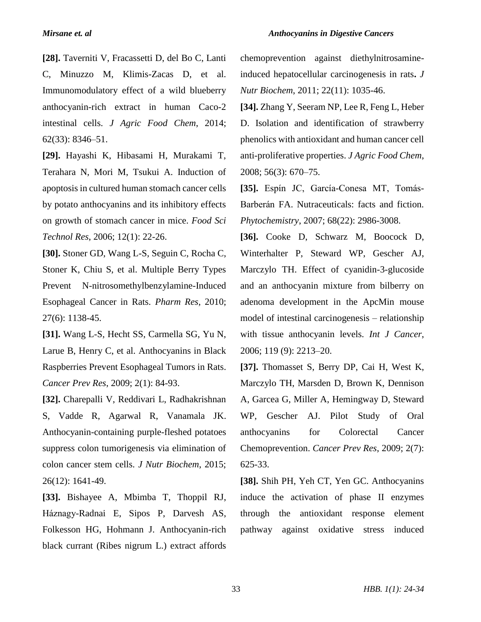**[28].** Taverniti V, Fracassetti D, del Bo C, Lanti C, Minuzzo M, Klimis-Zacas D, et al. Immunomodulatory effect of a wild blueberry anthocyanin-rich extract in human Caco-2 intestinal cells. *J Agric Food Chem*, 2014; 62(33): 8346–51.

**[29].** Hayashi K, Hibasami H, Murakami T, Terahara N, Mori M, Tsukui A. Induction of apoptosis in cultured human stomach cancer cells by potato anthocyanins and its inhibitory effects on growth of stomach cancer in mice. *Food Sci Technol Res*, 2006; 12(1): 22-26.

**[30].** Stoner GD, Wang L-S, Seguin C, Rocha C, Stoner K, Chiu S, et al. Multiple Berry Types Prevent N-nitrosomethylbenzylamine-Induced Esophageal Cancer in Rats. *Pharm Res*, 2010; 27(6): 1138-45.

**[31].** Wang L-S, Hecht SS, Carmella SG, Yu N, Larue B, Henry C, et al. Anthocyanins in Black Raspberries Prevent Esophageal Tumors in Rats. *Cancer Prev Res*, 2009; 2(1): 84-93.

**[32].** Charepalli V, Reddivari L, Radhakrishnan S, Vadde R, Agarwal R, Vanamala JK. Anthocyanin-containing purple-fleshed potatoes suppress colon tumorigenesis via elimination of colon cancer stem cells. *J Nutr Biochem*, 2015; 26(12): 1641-49.

**[33].** Bishayee A, Mbimba T, Thoppil RJ, Háznagy-Radnai E, Sipos P, Darvesh AS, Folkesson HG, Hohmann J. Anthocyanin-rich black currant (Ribes nigrum L.) extract affords

chemoprevention against diethylnitrosamineinduced hepatocellular carcinogenesis in rats**.** *J Nutr Biochem*, 2011; 22(11): 1035-46.

**[34].** Zhang Y, Seeram NP, Lee R, Feng L, Heber D. Isolation and identification of strawberry phenolics with antioxidant and human cancer cell anti-proliferative properties. *J Agric Food Chem*, 2008; 56(3): 670–75.

**[35].** Espín JC, García-Conesa MT, Tomás-Barberán FA. Nutraceuticals: facts and fiction. *Phytochemistry*, 2007; 68(22): 2986-3008.

**[36].** Cooke D, Schwarz M, Boocock D, Winterhalter P, Steward WP, Gescher AJ, Marczylo TH. Effect of cyanidin-3-glucoside and an anthocyanin mixture from bilberry on adenoma development in the ApcMin mouse model of intestinal carcinogenesis – relationship with tissue anthocyanin levels. *Int J Cancer*, 2006; 119 (9): 2213–20.

**[37].** Thomasset S, Berry DP, Cai H, West K, Marczylo TH, Marsden D, Brown K, Dennison A, Garcea G, Miller A, Hemingway D, Steward WP, Gescher AJ. Pilot Study of Oral anthocyanins for Colorectal Cancer Chemoprevention. *Cancer Prev Res*, 2009; 2(7): 625-33.

**[38].** Shih PH, Yeh CT, Yen GC. Anthocyanins induce the activation of phase II enzymes through the antioxidant response element pathway against oxidative stress induced